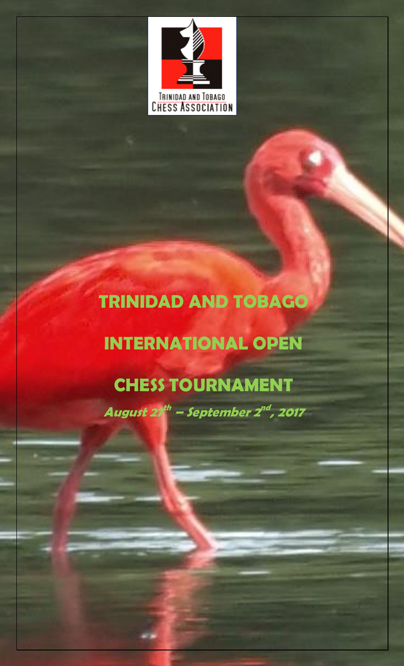

# **TRINIDAD AND TOBAGO**

# **INTERNATIONAL OPEN**

## **CHESS TOURNAMENT**

**August 27 th – September 2 nd , 2017**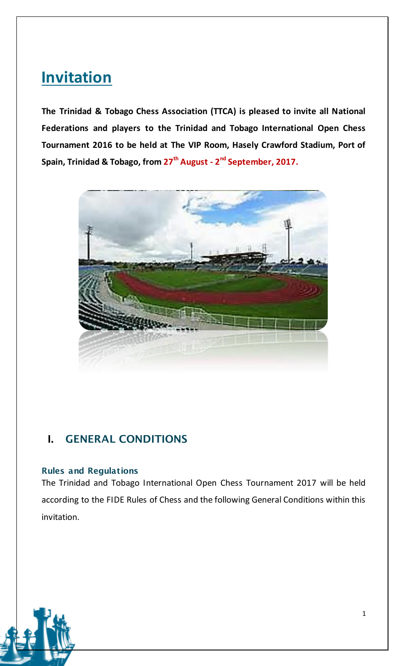## **Invitation**

**The Trinidad & Tobago Chess Association (TTCA) is pleased to invite all National Federations and players to the Trinidad and Tobago International Open Chess Tournament 2016 to be held at The VIP Room, Hasely Crawford Stadium, Port of Spain, Trinidad & Tobago, from 27th August - 2 nd September, 2017.**



## **I. GENERAL CONDITIONS**

#### **Rules and Regulations**

The Trinidad and Tobago International Open Chess Tournament 2017 will be held according to the FIDE Rules of Chess and the following General Conditions within this invitation.

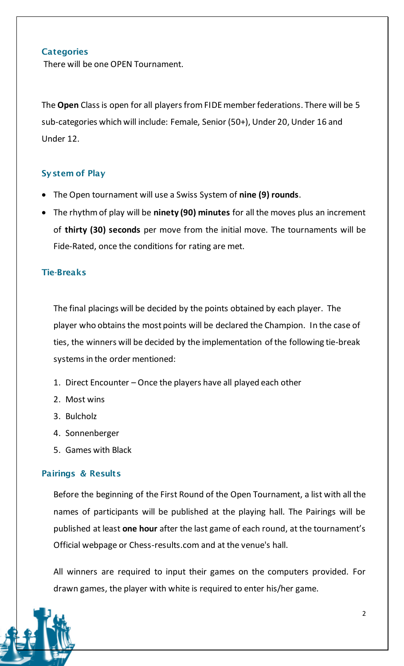#### **Categories**

There will be one OPEN Tournament.

The **Open** Class is open for all players from FIDE member federations. There will be 5 sub-categories which will include: Female, Senior (50+), Under 20, Under 16 and Under 12.

#### **System of Play**

- The Open tournament will use a Swiss System of **nine (9) rounds**.
- The rhythm of play will be **ninety (90) minutes** for all the moves plus an increment of **thirty (30) seconds** per move from the initial move. The tournaments will be Fide-Rated, once the conditions for rating are met.

#### **Tie-Breaks**

The final placings will be decided by the points obtained by each player. The player who obtains the most points will be declared the Champion. In the case of ties, the winners will be decided by the implementation of the following tie-break systems in the order mentioned:

- 1. Direct Encounter Once the players have all played each other
- 2. Most wins
- 3. Bulcholz
- 4. Sonnenberger
- 5. Games with Black

#### **Pairings & Results**

Before the beginning of the First Round of the Open Tournament, a list with all the names of participants will be published at the playing hall. The Pairings will be published at least **one hour** after the last game of each round, at the tournament's Official webpage or Chess-results.com and at the venue's hall.

All winners are required to input their games on the computers provided. For drawn games, the player with white is required to enter his/her game.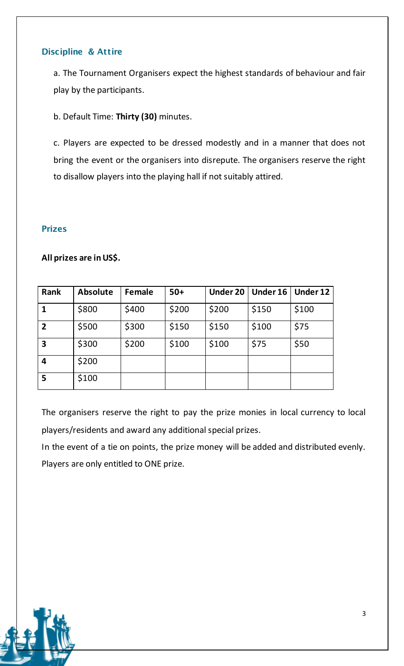#### **Discipline & Attire**

a. The Tournament Organisers expect the highest standards of behaviour and fair play by the participants.

b. Default Time: **Thirty (30)** minutes.

c. Players are expected to be dressed modestly and in a manner that does not bring the event or the organisers into disrepute. The organisers reserve the right to disallow players into the playing hall if not suitably attired.

#### **Prizes**

#### **All prizes are in US\$.**

| <b>Rank</b>    | <b>Absolute</b> | <b>Female</b> | $50+$ | <b>Under 20</b> | <b>Under 16</b> | <b>Under 12</b> |
|----------------|-----------------|---------------|-------|-----------------|-----------------|-----------------|
| $\mathbf 1$    | \$800           | \$400         | \$200 | \$200           | \$150           | \$100           |
| $\overline{2}$ | \$500           | \$300         | \$150 | \$150           | \$100           | \$75            |
| 3              | \$300           | \$200         | \$100 | \$100           | \$75            | \$50            |
| 4              | \$200           |               |       |                 |                 |                 |
| 5              | \$100           |               |       |                 |                 |                 |

The organisers reserve the right to pay the prize monies in local currency to local players/residents and award any additional special prizes.

In the event of a tie on points, the prize money will be added and distributed evenly. Players are only entitled to ONE prize.

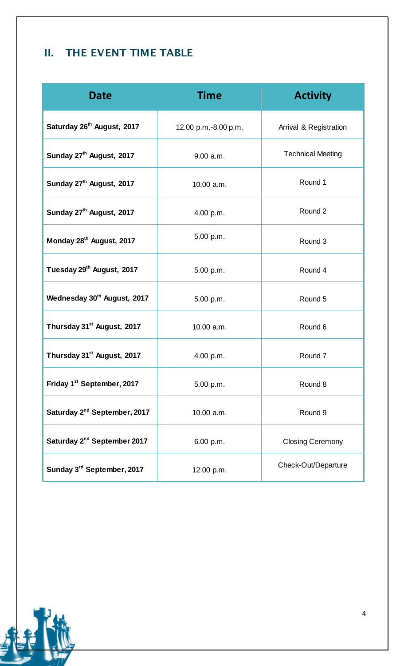## **II. THE EVENT TIME TABLE**

| <b>Date</b>                              | <b>Time</b>          | <b>Activity</b>          |
|------------------------------------------|----------------------|--------------------------|
| Saturday 26 <sup>th</sup> August, 2017   | 12.00 p.m.-8.00 p.m. | Arrival & Registration   |
| Sunday 27 <sup>th</sup> August, 2017     | 9.00 a.m.            | <b>Technical Meeting</b> |
| Sunday 27 <sup>th</sup> August, 2017     | 10.00 a.m.           | Round 1                  |
| Sunday 27 <sup>th</sup> August, 2017     | 4.00 p.m.            | Round 2                  |
| Monday 28 <sup>th</sup> August, 2017     | 5.00 p.m.            | Round 3                  |
| Tuesday 29 <sup>th</sup> August, 2017    | 5.00 p.m.            | Round 4                  |
| Wednesday 30 <sup>th</sup> August, 2017  | 5.00 p.m.            | Round 5                  |
| Thursday 31 <sup>st</sup> August, 2017   | 10.00 a.m.           | Round 6                  |
| Thursday 31 <sup>st</sup> August, 2017   | 4.00 p.m.            | Round 7                  |
| Friday 1 <sup>st</sup> September, 2017   | 5.00 p.m.            | Round 8                  |
| Saturday 2 <sup>nd</sup> September, 2017 | 10.00 a.m.           | Round 9                  |
| Saturday 2 <sup>nd</sup> September 2017  | 6.00 p.m.            | <b>Closing Ceremony</b>  |
| Sunday 3rd September, 2017               | 12.00 p.m.           | Check-Out/Departure      |

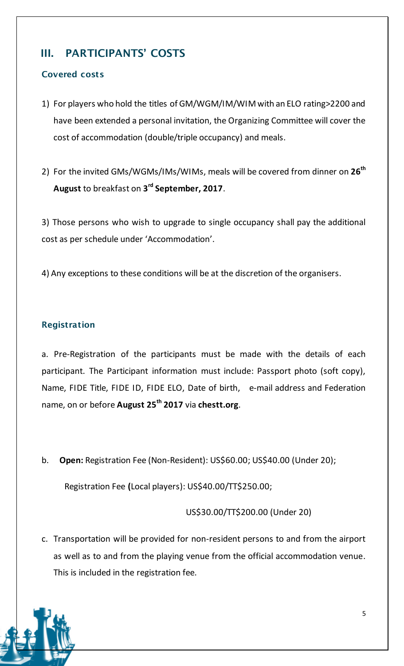## **III. PARTICIPANTS' COSTS**

#### **Covered costs**

- 1) For players who hold the titles of GM/WGM/IM/WIM with an ELO rating>2200 and have been extended a personal invitation, the Organizing Committee will cover the cost of accommodation (double/triple occupancy) and meals.
- 2) For the invited GMs/WGMs/IMs/WIMs, meals will be covered from dinner on **26 th August** to breakfast on **3 rd September, 2017**.

3) Those persons who wish to upgrade to single occupancy shall pay the additional cost as per schedule under 'Accommodation'.

4) Any exceptions to these conditions will be at the discretion of the organisers.

#### **Registration**

a. Pre-Registration of the participants must be made with the details of each participant. The Participant information must include: Passport photo (soft copy), Name, FIDE Title, FIDE ID, FIDE ELO, Date of birth, e-mail address and Federation name, on or before **August 25 th 2017** via **chestt.org**.

b. **Open:** Registration Fee (Non-Resident): US\$60.00; US\$40.00 (Under 20);

Registration Fee **(**Local players): US\$40.00/TT\$250.00;

US\$30.00/TT\$200.00 (Under 20)

c. Transportation will be provided for non-resident persons to and from the airport as well as to and from the playing venue from the official accommodation venue. This is included in the registration fee.

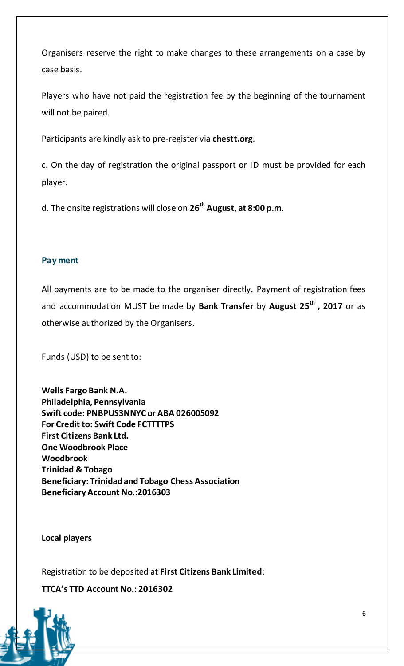Organisers reserve the right to make changes to these arrangements on a case by case basis.

Players who have not paid the registration fee by the beginning of the tournament will not be paired.

Participants are kindly ask to pre-register via **chestt.org**.

c. On the day of registration the original passport or ID must be provided for each player.

d. The onsite registrations will close on **26th August, at 8:00 p.m.**

#### **Payment**

All payments are to be made to the organiser directly. Payment of registration fees and accommodation MUST be made by **Bank Transfer** by **August 25th , 2017** or as otherwise authorized by the Organisers.

Funds (USD) to be sent to:

**Wells Fargo Bank N.A. Philadelphia, Pennsylvania Swift code: PNBPUS3NNYC or ABA 026005092 For Credit to: Swift Code FCTTTTPS First Citizens Bank Ltd. One Woodbrook Place Woodbrook Trinidad & Tobago Beneficiary: Trinidad and Tobago Chess Association Beneficiary Account No.:2016303**

**Local players**

Registration to be deposited at **First Citizens Bank Limited**:

**TTCA's TTD Account No.: 2016302**

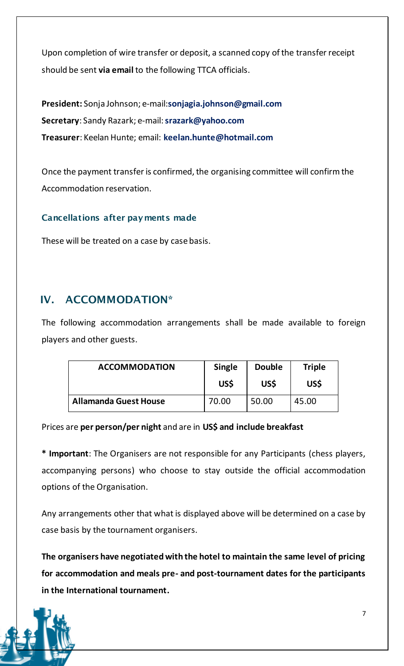Upon completion of wire transfer or deposit, a scanned copy of the transfer receipt should be sent **via email** to the following TTCA officials.

**President:** Sonja Johnson; e-mail:**sonjagia.johnson@gmail.com Secretary**: Sandy Razark; e-mail: **srazark@yahoo.com Treasurer**: Keelan Hunte; email: **keelan.hunte@hotmail.com**

Once the payment transfer is confirmed, the organising committee will confirm the Accommodation reservation.

#### **Cancellations after payments made**

These will be treated on a case by case basis.

### **IV. ACCOMMODATION\***

The following accommodation arrangements shall be made available to foreign players and other guests.

| <b>ACCOMMODATION</b>         | <b>Single</b> | <b>Double</b> | <b>Triple</b> |
|------------------------------|---------------|---------------|---------------|
|                              | <b>USS</b>    | US\$          | US\$          |
| <b>Allamanda Guest House</b> | 70.00         | 50.00         | 45.00         |

Prices are **per person/per night** and are in **US\$ and include breakfast**

**\* Important**: The Organisers are not responsible for any Participants (chess players, accompanying persons) who choose to stay outside the official accommodation options of the Organisation.

Any arrangements other that what is displayed above will be determined on a case by case basis by the tournament organisers.

**The organisers have negotiated with the hotel to maintain the same level of pricing for accommodation and meals pre- and post-tournament dates for the participants in the International tournament.** 

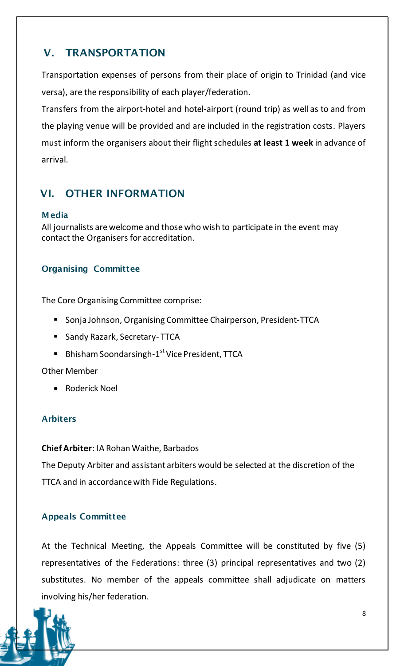## **V. TRANSPORTATION**

Transportation expenses of persons from their place of origin to Trinidad (and vice versa), are the responsibility of each player/federation.

Transfers from the airport-hotel and hotel-airport (round trip) as well as to and from the playing venue will be provided and are included in the registration costs. Players must inform the organisers about their flight schedules **at least 1 week** in advance of arrival.

### **VI. OTHER INFORMATION**

#### **Media**

All journalists are welcome and those who wish to participate in the event may contact the Organisers for accreditation.

#### **Organising Committee**

The Core Organising Committee comprise:

- **Sonja Johnson, Organising Committee Chairperson, President-TTCA**
- **Sandy Razark, Secretary- TTCA**
- Bhisham Soondarsingh-1<sup>st</sup> Vice President, TTCA

#### Other Member

• Roderick Noel

#### **Arbiters**

**Chief Arbiter**: IA Rohan Waithe, Barbados

The Deputy Arbiter and assistant arbiters would be selected at the discretion of the TTCA and in accordance with Fide Regulations.

#### **Appeals Committee**

At the Technical Meeting, the Appeals Committee will be constituted by five (5) representatives of the Federations: three (3) principal representatives and two (2) substitutes. No member of the appeals committee shall adjudicate on matters involving his/her federation.